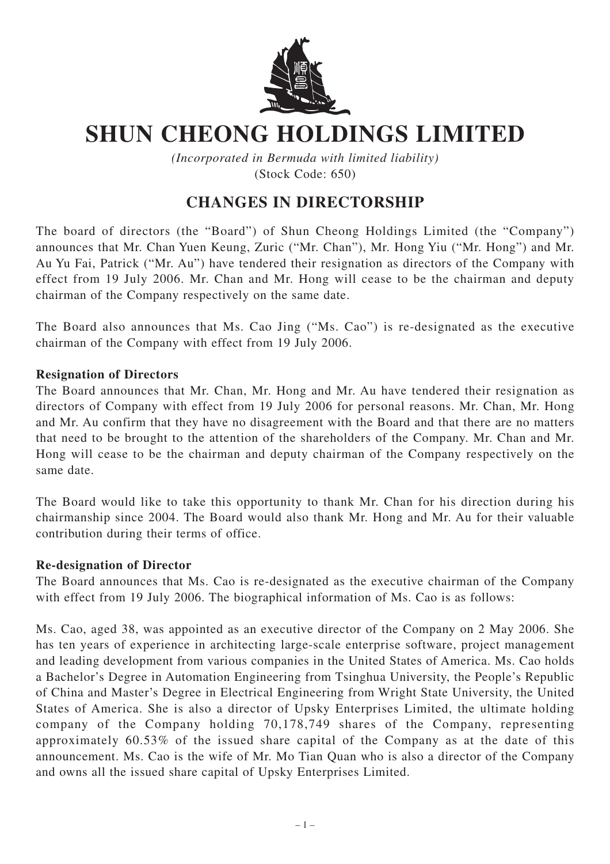

## **SHUN CHEONG HOLDINGS LIMITED**

*(Incorporated in Bermuda with limited liability)* (Stock Code: 650)

## **CHANGES IN DIRECTORSHIP**

The board of directors (the "Board") of Shun Cheong Holdings Limited (the "Company") announces that Mr. Chan Yuen Keung, Zuric ("Mr. Chan"), Mr. Hong Yiu ("Mr. Hong") and Mr. Au Yu Fai, Patrick ("Mr. Au") have tendered their resignation as directors of the Company with effect from 19 July 2006. Mr. Chan and Mr. Hong will cease to be the chairman and deputy chairman of the Company respectively on the same date.

The Board also announces that Ms. Cao Jing ("Ms. Cao") is re-designated as the executive chairman of the Company with effect from 19 July 2006.

## **Resignation of Directors**

The Board announces that Mr. Chan, Mr. Hong and Mr. Au have tendered their resignation as directors of Company with effect from 19 July 2006 for personal reasons. Mr. Chan, Mr. Hong and Mr. Au confirm that they have no disagreement with the Board and that there are no matters that need to be brought to the attention of the shareholders of the Company. Mr. Chan and Mr. Hong will cease to be the chairman and deputy chairman of the Company respectively on the same date.

The Board would like to take this opportunity to thank Mr. Chan for his direction during his chairmanship since 2004. The Board would also thank Mr. Hong and Mr. Au for their valuable contribution during their terms of office.

## **Re-designation of Director**

The Board announces that Ms. Cao is re-designated as the executive chairman of the Company with effect from 19 July 2006. The biographical information of Ms. Cao is as follows:

Ms. Cao, aged 38, was appointed as an executive director of the Company on 2 May 2006. She has ten years of experience in architecting large-scale enterprise software, project management and leading development from various companies in the United States of America. Ms. Cao holds a Bachelor's Degree in Automation Engineering from Tsinghua University, the People's Republic of China and Master's Degree in Electrical Engineering from Wright State University, the United States of America. She is also a director of Upsky Enterprises Limited, the ultimate holding company of the Company holding 70,178,749 shares of the Company, representing approximately 60.53% of the issued share capital of the Company as at the date of this announcement. Ms. Cao is the wife of Mr. Mo Tian Quan who is also a director of the Company and owns all the issued share capital of Upsky Enterprises Limited.